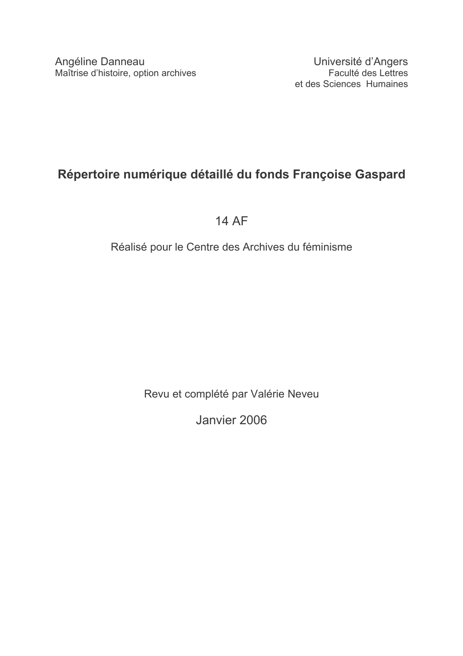## Répertoire numérique détaillé du fonds Françoise Gaspard

**14 AF** 

## Réalisé pour le Centre des Archives du féminisme

Revu et complété par Valérie Neveu

Janvier 2006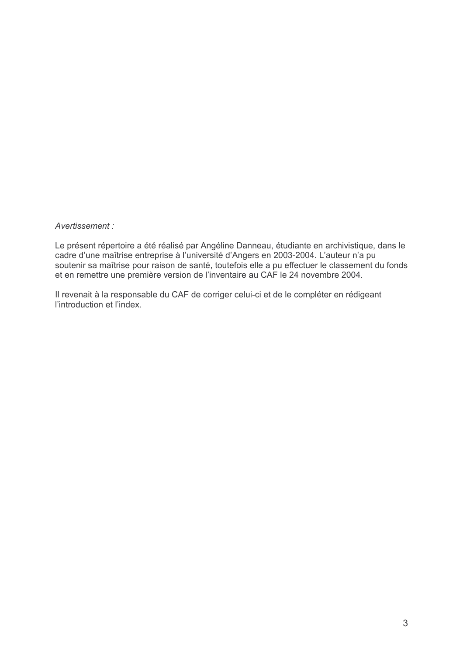Avertissement:

Le présent répertoire a été réalisé par Angéline Danneau, étudiante en archivistique, dans le cadre d'une maîtrise entreprise à l'université d'Angers en 2003-2004. L'auteur n'a pu soutenir sa maîtrise pour raison de santé, toutefois elle a pu effectuer le classement du fonds et en remettre une première version de l'inventaire au CAF le 24 novembre 2004.

Il revenait à la responsable du CAF de corriger celui-ci et de le compléter en rédigeant l'introduction et l'index.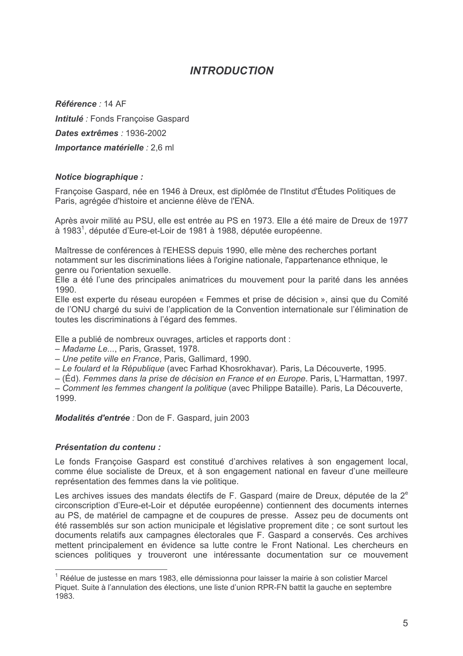## **INTRODUCTION**

Référence : 14 AF Intitulé : Fonds Francoise Gaspard Dates extrêmes : 1936-2002 Importance matérielle : 2,6 ml

### Notice biographique :

Françoise Gaspard, née en 1946 à Dreux, est diplômée de l'Institut d'Études Politiques de Paris, agrégée d'histoire et ancienne élève de l'ENA.

Après avoir milité au PSU, elle est entrée au PS en 1973. Elle a été maire de Dreux de 1977 à 1983<sup>1</sup>, députée d'Eure-et-Loir de 1981 à 1988, députée européenne.

Maîtresse de conférences à l'EHESS depuis 1990, elle mène des recherches portant notamment sur les discriminations liées à l'origine nationale, l'appartenance ethnique, le genre ou l'orientation sexuelle.

Elle a été l'une des principales animatrices du mouvement pour la parité dans les années 1990

Elle est experte du réseau européen « Femmes et prise de décision », ainsi que du Comité de l'ONU chargé du suivi de l'application de la Convention internationale sur l'élimination de toutes les discriminations à l'égard des femmes.

Elle a publié de nombreux ouvrages, articles et rapports dont :

- Madame Le..., Paris, Grasset, 1978.

- Une petite ville en France, Paris, Gallimard, 1990.

- Le foulard et la République (avec Farhad Khosrokhavar). Paris, La Découverte, 1995.

– (Éd). Femmes dans la prise de décision en France et en Europe. Paris, L'Harmattan, 1997.

- Comment les femmes changent la politique (avec Philippe Bataille). Paris, La Découverte, 1999

Modalités d'entrée : Don de F. Gaspard, juin 2003

### Présentation du contenu :

Le fonds Francoise Gaspard est constitué d'archives relatives à son engagement local, comme élue socialiste de Dreux, et à son engagement national en faveur d'une meilleure représentation des femmes dans la vie politique.

Les archives issues des mandats électifs de F. Gaspard (maire de Dreux, députée de la 2<sup>e</sup> circonscription d'Eure-et-Loir et députée européenne) contiennent des documents internes au PS, de matériel de campagne et de coupures de presse. Assez peu de documents ont été rassemblés sur son action municipale et législative proprement dite : ce sont surtout les documents relatifs aux campagnes électorales que F. Gaspard a conservés. Ces archives mettent principalement en évidence sa lutte contre le Front National. Les chercheurs en sciences politiques y trouveront une intéressante documentation sur ce mouvement

 $1$  Réélue de justesse en mars 1983, elle démissionna pour laisser la mairie à son colistier Marcel Piquet. Suite à l'annulation des élections, une liste d'union RPR-FN battit la gauche en septembre 1983.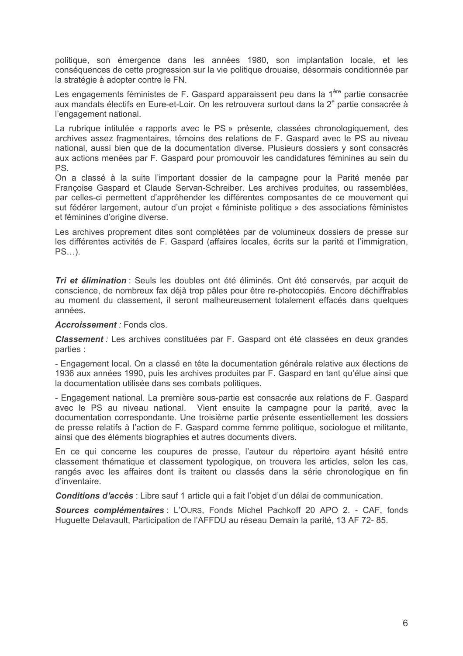politique, son émergence dans les années 1980, son implantation locale, et les conséquences de cette progression sur la vie politique drouaise, désormais conditionnée par la stratégie à adopter contre le FN.

Les engagements féministes de F. Gaspard apparaissent peu dans la 1ère partie consacrée aux mandats électifs en Eure-et-Loir. On les retrouvera surtout dans la 2<sup>e</sup> partie consacrée à l'engagement national.

La rubrique intitulée « rapports avec le PS » présente, classées chronologiquement, des archives assez fragmentaires, témoins des relations de F. Gaspard avec le PS au niveau national, aussi bien que de la documentation diverse. Plusieurs dossiers y sont consacrés aux actions menées par F. Gaspard pour promouvoir les candidatures féminines au sein du **PS** 

On a classé à la suite l'important dossier de la campagne pour la Parité menée par Francoise Gaspard et Claude Servan-Schreiber. Les archives produites, ou rassemblées. par celles-ci permettent d'appréhender les différentes composantes de ce mouvement qui sut fédérer largement, autour d'un projet « féministe politique » des associations féministes et féminines d'origine diverse.

Les archives proprement dites sont complétées par de volumineux dossiers de presse sur les différentes activités de F. Gaspard (affaires locales, écrits sur la parité et l'immigration,  $PS...$ ).

Tri et élimination : Seuls les doubles ont été éliminés. Ont été conservés, par acquit de conscience, de nombreux fax déjà trop pâles pour être re-photocopiés. Encore déchiffrables au moment du classement, il seront malheureusement totalement effacés dans quelques années.

#### Accroissement : Fonds clos.

**Classement** : Les archives constituées par F. Gaspard ont été classées en deux grandes parties :

- Engagement local. On a classé en tête la documentation générale relative aux élections de 1936 aux années 1990, puis les archives produites par F. Gaspard en tant qu'élue ainsi que la documentation utilisée dans ses combats politiques.

- Engagement national. La première sous-partie est consacrée aux relations de F. Gaspard avec le PS au niveau national. Vient ensuite la campagne pour la parité, avec la documentation correspondante. Une troisième partie présente essentiellement les dossiers de presse relatifs à l'action de F. Gaspard comme femme politique, sociologue et militante, ainsi que des éléments biographies et autres documents divers.

En ce qui concerne les coupures de presse, l'auteur du répertoire ayant hésité entre classement thématique et classement typologique, on trouvera les articles, selon les cas, rangés avec les affaires dont ils traitent ou classés dans la série chronologique en fin d'inventaire.

Conditions d'accès : Libre sauf 1 article qui a fait l'objet d'un délai de communication.

Sources complémentaires : L'OURS, Fonds Michel Pachkoff 20 APO 2. - CAF, fonds Huguette Delavault, Participation de l'AFFDU au réseau Demain la parité, 13 AF 72-85.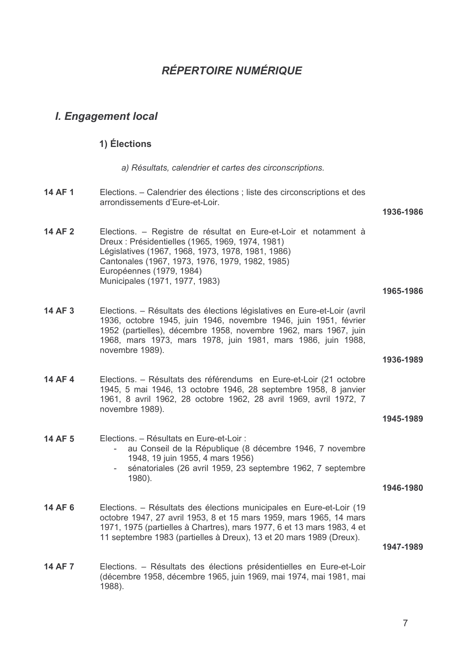## **RÉPERTOIRE NUMÉRIQUE**

### **I. Engagement local**

### 1) Élections

a) Résultats, calendrier et cartes des circonscriptions.

**14 AF 1** Elections. – Calendrier des élections ; liste des circonscriptions et des arrondissements d'Eure-et-Loir

#### 1936-1986

14 AF 2 Elections. – Registre de résultat en Eure-et-Loir et notamment à Dreux : Présidentielles (1965, 1969, 1974, 1981) Législatives (1967, 1968, 1973, 1978, 1981, 1986) Cantonales (1967, 1973, 1976, 1979, 1982, 1985) Européennes (1979, 1984) Municipales (1971, 1977, 1983)

#### 1965-1986

14 AF 3 Elections. - Résultats des élections législatives en Eure-et-Loir (avril 1936, octobre 1945, juin 1946, novembre 1946, juin 1951, février 1952 (partielles), décembre 1958, novembre 1962, mars 1967, juin 1968, mars 1973, mars 1978, juin 1981, mars 1986, juin 1988, novembre 1989).

#### 1936-1989

14 AF 4 Elections. – Résultats des référendums en Eure-et-Loir (21 octobre 1945, 5 mai 1946, 13 octobre 1946, 28 septembre 1958, 8 janvier 1961, 8 avril 1962, 28 octobre 1962, 28 avril 1969, avril 1972, 7 novembre 1989).

#### 1945-1989

- 14 AF 5 Elections. - Résultats en Eure-et-Loir :
	- au Conseil de la République (8 décembre 1946, 7 novembre 1948, 19 juin 1955, 4 mars 1956)
	- $\omega_{\rm{eff}}$ sénatoriales (26 avril 1959, 23 septembre 1962, 7 septembre 1980).
- 1946-1980
- 14 AF 6 Elections. – Résultats des élections municipales en Eure-et-Loir (19 octobre 1947, 27 avril 1953, 8 et 15 mars 1959, mars 1965, 14 mars 1971, 1975 (partielles à Chartres), mars 1977, 6 et 13 mars 1983, 4 et 11 septembre 1983 (partielles à Dreux), 13 et 20 mars 1989 (Dreux).

1947-1989

**14 AF 7** Elections. - Résultats des élections présidentielles en Eure-et-Loir (décembre 1958, décembre 1965, juin 1969, mai 1974, mai 1981, mai 1988).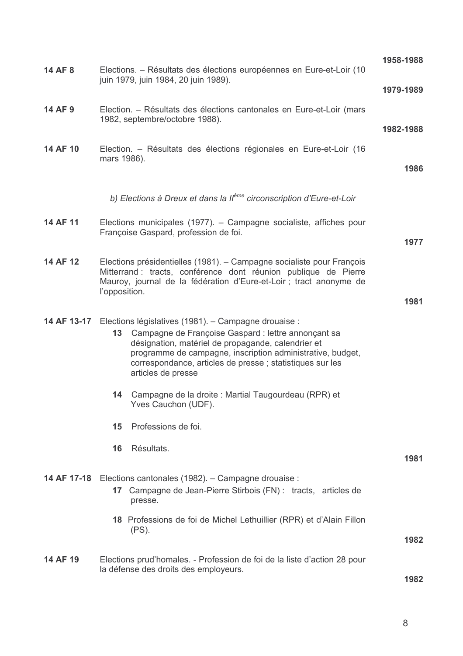| 14 AF 8     | Elections. – Résultats des élections européennes en Eure-et-Loir (10<br>juin 1979, juin 1984, 20 juin 1989).                                                                                                                                                                                                          | 1958-1988 |
|-------------|-----------------------------------------------------------------------------------------------------------------------------------------------------------------------------------------------------------------------------------------------------------------------------------------------------------------------|-----------|
|             |                                                                                                                                                                                                                                                                                                                       | 1979-1989 |
| 14 AF 9     | Election. - Résultats des élections cantonales en Eure-et-Loir (mars<br>1982, septembre/octobre 1988).                                                                                                                                                                                                                | 1982-1988 |
| 14 AF 10    | Election. - Résultats des élections régionales en Eure-et-Loir (16<br>mars 1986).                                                                                                                                                                                                                                     | 1986      |
|             |                                                                                                                                                                                                                                                                                                                       |           |
|             | b) Elections à Dreux et dans la Il <sup>ème</sup> circonscription d'Eure-et-Loir                                                                                                                                                                                                                                      |           |
| 14 AF 11    | Elections municipales (1977). - Campagne socialiste, affiches pour<br>Françoise Gaspard, profession de foi.                                                                                                                                                                                                           | 1977      |
|             |                                                                                                                                                                                                                                                                                                                       |           |
| 14 AF 12    | Elections présidentielles (1981). – Campagne socialiste pour François<br>Mitterrand : tracts, conférence dont réunion publique de Pierre<br>Mauroy, journal de la fédération d'Eure-et-Loir ; tract anonyme de<br>l'opposition.                                                                                       |           |
|             |                                                                                                                                                                                                                                                                                                                       | 1981      |
| 14 AF 13-17 | Elections législatives (1981). – Campagne drouaise :<br>13 Campagne de Françoise Gaspard : lettre annonçant sa<br>désignation, matériel de propagande, calendrier et<br>programme de campagne, inscription administrative, budget,<br>correspondance, articles de presse ; statistiques sur les<br>articles de presse |           |
|             | Campagne de la droite : Martial Taugourdeau (RPR) et<br>14<br>Yves Cauchon (UDF).                                                                                                                                                                                                                                     |           |
|             | Professions de foi.<br>15                                                                                                                                                                                                                                                                                             |           |
|             | Résultats.<br>16                                                                                                                                                                                                                                                                                                      | 1981      |
| 14 AF 17-18 | Elections cantonales (1982). - Campagne drouaise :<br>Campagne de Jean-Pierre Stirbois (FN) : tracts, articles de<br>17 <sup>17</sup><br>presse.                                                                                                                                                                      |           |
|             | 18 Professions de foi de Michel Lethuillier (RPR) et d'Alain Fillon<br>$(PS)$ .                                                                                                                                                                                                                                       |           |
|             |                                                                                                                                                                                                                                                                                                                       | 1982      |
| 14 AF 19    | Elections prud'homales. - Profession de foi de la liste d'action 28 pour<br>la défense des droits des employeurs.                                                                                                                                                                                                     |           |
|             |                                                                                                                                                                                                                                                                                                                       | 1982      |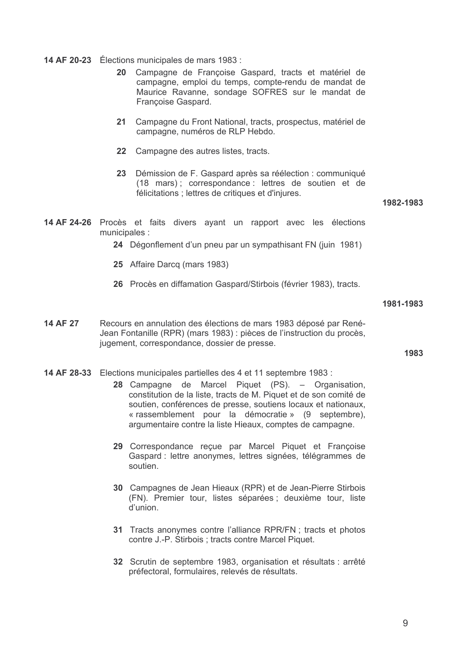14 AF 20-23 Élections municipales de mars 1983 :

- 20 Campagne de Françoise Gaspard, tracts et matériel de campagne, emploi du temps, compte-rendu de mandat de Maurice Ravanne, sondage SOFRES sur le mandat de Françoise Gaspard.
- 21 Campagne du Front National, tracts, prospectus, matériel de campagne, numéros de RLP Hebdo.
- 22 Campagne des autres listes, tracts.
- 23 Démission de F. Gaspard après sa réélection : communiqué (18 mars); correspondance: lettres de soutien et de félicitations ; lettres de critiques et d'injures.

1982-1983

- 14 AF 24-26 Procès et faits divers ayant un rapport avec les élections municipales :
	- 24 Dégonflement d'un pneu par un sympathisant FN (juin 1981)
	- 25 Affaire Darcq (mars 1983)
	- 26 Procès en diffamation Gaspard/Stirbois (février 1983), tracts.

1981-1983

14 AF 27 Recours en annulation des élections de mars 1983 déposé par René-Jean Fontanille (RPR) (mars 1983) : pièces de l'instruction du procès, jugement, correspondance, dossier de presse.

1983

- 14 AF 28-33 Elections municipales partielles des 4 et 11 septembre 1983 :
	- 28 Campagne de Marcel Piquet (PS). Organisation, constitution de la liste, tracts de M. Piquet et de son comité de soutien, conférences de presse, soutiens locaux et nationaux, « rassemblement pour la démocratie » (9 septembre), argumentaire contre la liste Hieaux, comptes de campagne.
	- 29 Correspondance reçue par Marcel Piquet et Françoise Gaspard : lettre anonymes, lettres signées, télégrammes de soutien
	- 30 Campagnes de Jean Hieaux (RPR) et de Jean-Pierre Stirbois (FN). Premier tour, listes séparées ; deuxième tour, liste d'union.
	- 31 Tracts anonymes contre l'alliance RPR/FN ; tracts et photos contre J.-P. Stirbois ; tracts contre Marcel Piquet.
	- 32 Scrutin de septembre 1983, organisation et résultats : arrêté préfectoral, formulaires, relevés de résultats.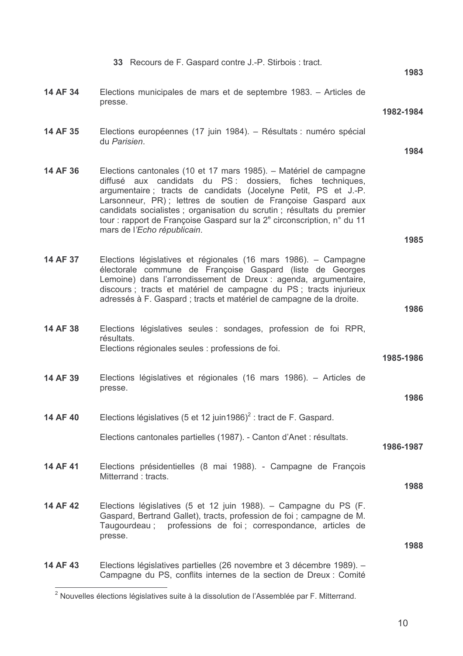|          | 33 Recours de F. Gaspard contre J.-P. Stirbois : tract.                                                                                                                                                                                                                                                                                                                                                                                                           | 1983      |
|----------|-------------------------------------------------------------------------------------------------------------------------------------------------------------------------------------------------------------------------------------------------------------------------------------------------------------------------------------------------------------------------------------------------------------------------------------------------------------------|-----------|
| 14 AF 34 | Elections municipales de mars et de septembre 1983. – Articles de<br>presse.                                                                                                                                                                                                                                                                                                                                                                                      |           |
|          |                                                                                                                                                                                                                                                                                                                                                                                                                                                                   | 1982-1984 |
| 14 AF 35 | Elections européennes (17 juin 1984). – Résultats : numéro spécial<br>du Parisien.                                                                                                                                                                                                                                                                                                                                                                                | 1984      |
| 14 AF 36 | Elections cantonales (10 et 17 mars 1985). – Matériel de campagne<br>diffusé aux candidats du PS : dossiers, fiches techniques,<br>argumentaire; tracts de candidats (Jocelyne Petit, PS et J.-P.<br>Larsonneur, PR); lettres de soutien de Françoise Gaspard aux<br>candidats socialistes ; organisation du scrutin ; résultats du premier<br>tour : rapport de Françoise Gaspard sur la 2 <sup>e</sup> circonscription, n° du 11<br>mars de l'Echo républicain. |           |
|          |                                                                                                                                                                                                                                                                                                                                                                                                                                                                   | 1985      |
| 14 AF 37 | Elections législatives et régionales (16 mars 1986). – Campagne<br>électorale commune de Françoise Gaspard (liste de Georges<br>Lemoine) dans l'arrondissement de Dreux : agenda, argumentaire,<br>discours ; tracts et matériel de campagne du PS ; tracts injurieux<br>adressés à F. Gaspard ; tracts et matériel de campagne de la droite.                                                                                                                     |           |
|          |                                                                                                                                                                                                                                                                                                                                                                                                                                                                   | 1986      |
| 14 AF 38 | Elections législatives seules : sondages, profession de foi RPR,<br>résultats.                                                                                                                                                                                                                                                                                                                                                                                    |           |
|          | Elections régionales seules : professions de foi.                                                                                                                                                                                                                                                                                                                                                                                                                 | 1985-1986 |
| 14 AF 39 | Elections législatives et régionales (16 mars 1986). – Articles de<br>presse.                                                                                                                                                                                                                                                                                                                                                                                     | 1986      |
|          |                                                                                                                                                                                                                                                                                                                                                                                                                                                                   |           |
| 14 AF 40 | Elections législatives (5 et 12 juin 1986) <sup>2</sup> : tract de F. Gaspard.                                                                                                                                                                                                                                                                                                                                                                                    |           |
|          | Elections cantonales partielles (1987). - Canton d'Anet : résultats.                                                                                                                                                                                                                                                                                                                                                                                              | 1986-1987 |
| 14 AF 41 | Elections présidentielles (8 mai 1988). - Campagne de François<br>Mitterrand: tracts.                                                                                                                                                                                                                                                                                                                                                                             | 1988      |
|          |                                                                                                                                                                                                                                                                                                                                                                                                                                                                   |           |
| 14 AF 42 | Elections législatives (5 et 12 juin 1988). - Campagne du PS (F.<br>Gaspard, Bertrand Gallet), tracts, profession de foi ; campagne de M.<br>Taugourdeau; professions de foi; correspondance, articles de<br>presse.                                                                                                                                                                                                                                              | 1988      |
|          |                                                                                                                                                                                                                                                                                                                                                                                                                                                                   |           |
| 14 AF 43 | Elections législatives partielles (26 novembre et 3 décembre 1989). -<br>Campagne du PS, conflits internes de la section de Dreux : Comité                                                                                                                                                                                                                                                                                                                        |           |

<sup>2&</sup>lt;br>Nouvelles élections législatives suite à la dissolution de l'Assemblée par F. Mitterrand.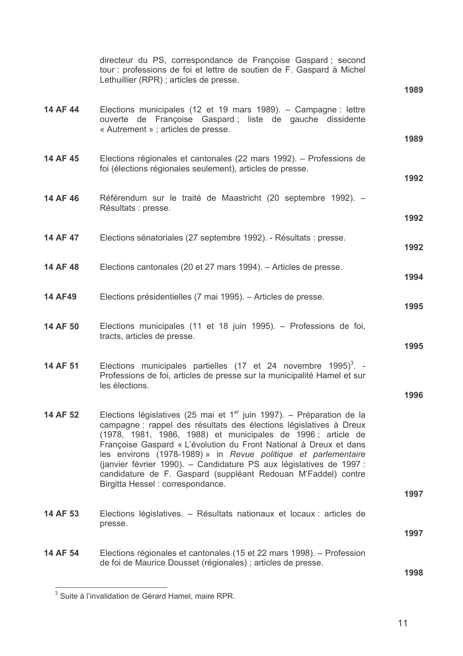|                | directeur du PS, correspondance de Françoise Gaspard; second<br>tour : professions de foi et lettre de soutien de F. Gaspard à Michel<br>Lethuillier (RPR); articles de presse.                                                                                                                                                                                                                                                                                                                                                 |      |
|----------------|---------------------------------------------------------------------------------------------------------------------------------------------------------------------------------------------------------------------------------------------------------------------------------------------------------------------------------------------------------------------------------------------------------------------------------------------------------------------------------------------------------------------------------|------|
|                |                                                                                                                                                                                                                                                                                                                                                                                                                                                                                                                                 | 1989 |
| 14 AF 44       | Elections municipales (12 et 19 mars 1989). - Campagne : lettre<br>ouverte de Françoise Gaspard; liste de gauche dissidente<br>« Autrement » ; articles de presse.                                                                                                                                                                                                                                                                                                                                                              |      |
|                |                                                                                                                                                                                                                                                                                                                                                                                                                                                                                                                                 | 1989 |
| 14 AF 45       | Elections régionales et cantonales (22 mars 1992). – Professions de<br>foi (élections régionales seulement), articles de presse.                                                                                                                                                                                                                                                                                                                                                                                                | 1992 |
| 14 AF 46       | Référendum sur le traité de Maastricht (20 septembre 1992). –                                                                                                                                                                                                                                                                                                                                                                                                                                                                   |      |
|                | Résultats : presse.                                                                                                                                                                                                                                                                                                                                                                                                                                                                                                             |      |
|                |                                                                                                                                                                                                                                                                                                                                                                                                                                                                                                                                 | 1992 |
| 14 AF 47       | Elections sénatoriales (27 septembre 1992). - Résultats : presse.                                                                                                                                                                                                                                                                                                                                                                                                                                                               | 1992 |
| 14 AF 48       | Elections cantonales (20 et 27 mars 1994). – Articles de presse.                                                                                                                                                                                                                                                                                                                                                                                                                                                                |      |
|                |                                                                                                                                                                                                                                                                                                                                                                                                                                                                                                                                 | 1994 |
| <b>14 AF49</b> | Elections présidentielles (7 mai 1995). – Articles de presse.                                                                                                                                                                                                                                                                                                                                                                                                                                                                   | 1995 |
|                |                                                                                                                                                                                                                                                                                                                                                                                                                                                                                                                                 |      |
| 14 AF 50       | Elections municipales (11 et 18 juin 1995). - Professions de foi,<br>tracts, articles de presse.                                                                                                                                                                                                                                                                                                                                                                                                                                |      |
|                |                                                                                                                                                                                                                                                                                                                                                                                                                                                                                                                                 | 1995 |
| 14 AF 51       | Elections municipales partielles (17 et 24 novembre 1995) <sup>3</sup> . -<br>Professions de foi, articles de presse sur la municipalité Hamel et sur<br>les élections.                                                                                                                                                                                                                                                                                                                                                         |      |
|                |                                                                                                                                                                                                                                                                                                                                                                                                                                                                                                                                 | 1996 |
| 14 AF 52       | Elections législatives (25 mai et $1er$ juin 1997). – Préparation de la<br>campagne : rappel des résultats des élections législatives à Dreux<br>(1978, 1981, 1986, 1988) et municipales de 1996; article de<br>Françoise Gaspard « L'évolution du Front National à Dreux et dans<br>les environs (1978-1989) » in Revue politique et parlementaire<br>(janvier février 1990). - Candidature PS aux législatives de 1997 :<br>candidature de F. Gaspard (suppléant Redouan M'Faddel) contre<br>Birgitta Hessel: correspondance. |      |
|                |                                                                                                                                                                                                                                                                                                                                                                                                                                                                                                                                 | 1997 |
| 14 AF 53       | Elections législatives. - Résultats nationaux et locaux : articles de<br>presse.                                                                                                                                                                                                                                                                                                                                                                                                                                                |      |
|                |                                                                                                                                                                                                                                                                                                                                                                                                                                                                                                                                 | 1997 |
| 14 AF 54       | Elections régionales et cantonales (15 et 22 mars 1998). – Profession                                                                                                                                                                                                                                                                                                                                                                                                                                                           |      |
|                | de foi de Maurice Dousset (régionales) ; articles de presse.                                                                                                                                                                                                                                                                                                                                                                                                                                                                    | 1998 |

 $\frac{1}{3}$  Suite à l'invalidation de Gérard Hamel, maire RPR.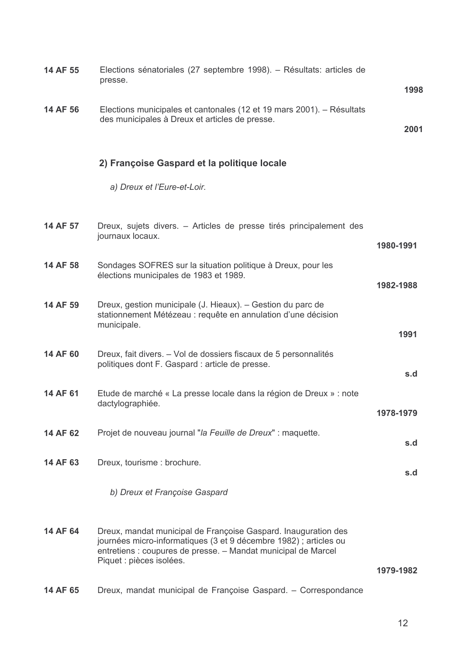| 14 AF 55 | Elections sénatoriales (27 septembre 1998). – Résultats: articles de<br>presse.                                                                                                                                                  | 1998      |
|----------|----------------------------------------------------------------------------------------------------------------------------------------------------------------------------------------------------------------------------------|-----------|
| 14 AF 56 | Elections municipales et cantonales (12 et 19 mars 2001). – Résultats<br>des municipales à Dreux et articles de presse.                                                                                                          | 2001      |
|          | 2) Françoise Gaspard et la politique locale                                                                                                                                                                                      |           |
|          | a) Dreux et l'Eure-et-Loir.                                                                                                                                                                                                      |           |
| 14 AF 57 | Dreux, sujets divers. – Articles de presse tirés principalement des<br>journaux locaux.                                                                                                                                          | 1980-1991 |
| 14 AF 58 | Sondages SOFRES sur la situation politique à Dreux, pour les<br>élections municipales de 1983 et 1989.                                                                                                                           | 1982-1988 |
| 14 AF 59 | Dreux, gestion municipale (J. Hieaux). - Gestion du parc de<br>stationnement Métézeau : requête en annulation d'une décision<br>municipale.                                                                                      | 1991      |
| 14 AF 60 | Dreux, fait divers. – Vol de dossiers fiscaux de 5 personnalités<br>politiques dont F. Gaspard : article de presse.                                                                                                              | s.d       |
| 14 AF 61 | Etude de marché « La presse locale dans la région de Dreux » : note<br>dactylographiée.                                                                                                                                          | 1978-1979 |
| 14 AF 62 | Projet de nouveau journal "la Feuille de Dreux" : maquette.                                                                                                                                                                      | s.d       |
| 14 AF 63 | Dreux, tourisme : brochure.                                                                                                                                                                                                      | s.d       |
|          | b) Dreux et Françoise Gaspard                                                                                                                                                                                                    |           |
| 14 AF 64 | Dreux, mandat municipal de Françoise Gaspard. Inauguration des<br>journées micro-informatiques (3 et 9 décembre 1982) ; articles ou<br>entretiens : coupures de presse. - Mandat municipal de Marcel<br>Piquet : pièces isolées. | 1979-1982 |
| 14 AF 65 | Dreux, mandat municipal de Françoise Gaspard. - Correspondance                                                                                                                                                                   |           |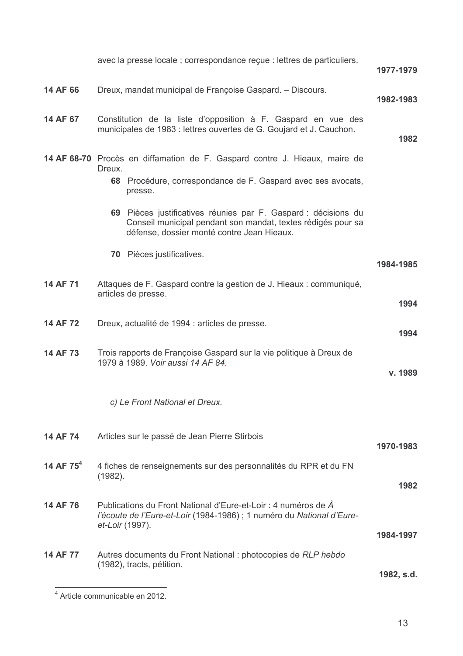|                       | avec la presse locale ; correspondance reçue : lettres de particuliers.                                                                                                      | 1977-1979  |
|-----------------------|------------------------------------------------------------------------------------------------------------------------------------------------------------------------------|------------|
| 14 AF 66              | Dreux, mandat municipal de Françoise Gaspard. - Discours.                                                                                                                    | 1982-1983  |
| 14 AF 67              | Constitution de la liste d'opposition à F. Gaspard en vue des<br>municipales de 1983 : lettres ouvertes de G. Goujard et J. Cauchon.                                         | 1982       |
|                       | 14 AF 68-70 Procès en diffamation de F. Gaspard contre J. Hieaux, maire de<br>Dreux.<br>68 Procédure, correspondance de F. Gaspard avec ses avocats,<br>presse.              |            |
|                       | 69 Pièces justificatives réunies par F. Gaspard : décisions du<br>Conseil municipal pendant son mandat, textes rédigés pour sa<br>défense, dossier monté contre Jean Hieaux. |            |
|                       | Pièces justificatives.<br>70                                                                                                                                                 | 1984-1985  |
| 14 AF 71              | Attaques de F. Gaspard contre la gestion de J. Hieaux : communiqué,<br>articles de presse.                                                                                   | 1994       |
| 14 AF 72              | Dreux, actualité de 1994 : articles de presse.                                                                                                                               | 1994       |
| 14 AF 73              | Trois rapports de Françoise Gaspard sur la vie politique à Dreux de<br>1979 à 1989. Voir aussi 14 AF 84.                                                                     | v. 1989    |
|                       | c) Le Front National et Dreux.                                                                                                                                               |            |
| 14 AF 74              | Articles sur le passé de Jean Pierre Stirbois                                                                                                                                | 1970-1983  |
| 14 AF 75 <sup>4</sup> | 4 fiches de renseignements sur des personnalités du RPR et du FN<br>(1982).                                                                                                  | 1982       |
| 14 AF 76              | Publications du Front National d'Eure-et-Loir : 4 numéros de A<br>l'écoute de l'Eure-et-Loir (1984-1986) ; 1 numéro du National d'Eure-<br>et-Loir (1997).                   | 1984-1997  |
| 14 AF 77              | Autres documents du Front National : photocopies de RLP hebdo<br>(1982), tracts, pétition.                                                                                   | 1982, s.d. |

Article communicable en 2012.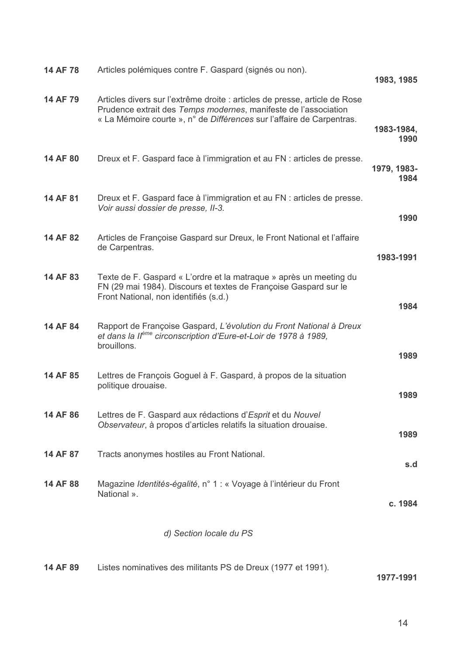| 14 AF 78 | Articles polémiques contre F. Gaspard (signés ou non).                                                                                                                                                                 | 1983, 1985          |
|----------|------------------------------------------------------------------------------------------------------------------------------------------------------------------------------------------------------------------------|---------------------|
| 14 AF 79 | Articles divers sur l'extrême droite : articles de presse, article de Rose<br>Prudence extrait des Temps modernes, manifeste de l'association<br>« La Mémoire courte », n° de Différences sur l'affaire de Carpentras. |                     |
|          |                                                                                                                                                                                                                        | 1983-1984,<br>1990  |
| 14 AF 80 | Dreux et F. Gaspard face à l'immigration et au FN : articles de presse.                                                                                                                                                | 1979, 1983-<br>1984 |
| 14 AF 81 | Dreux et F. Gaspard face à l'immigration et au FN : articles de presse.<br>Voir aussi dossier de presse, II-3.                                                                                                         | 1990                |
| 14 AF 82 | Articles de Françoise Gaspard sur Dreux, le Front National et l'affaire<br>de Carpentras.                                                                                                                              | 1983-1991           |
| 14 AF 83 | Texte de F. Gaspard « L'ordre et la matraque » après un meeting du<br>FN (29 mai 1984). Discours et textes de Françoise Gaspard sur le<br>Front National, non identifiés (s.d.)                                        | 1984                |
| 14 AF 84 | Rapport de Françoise Gaspard, L'évolution du Front National à Dreux<br>et dans la Ilème circonscription d'Eure-et-Loir de 1978 à 1989,<br>brouillons.                                                                  | 1989                |
| 14 AF 85 | Lettres de François Goguel à F. Gaspard, à propos de la situation<br>politique drouaise.                                                                                                                               | 1989                |
| 14 AF 86 | Lettres de F. Gaspard aux rédactions d'Esprit et du Nouvel<br>Observateur, à propos d'articles relatifs la situation drouaise.                                                                                         | 1989                |
| 14 AF 87 | Tracts anonymes hostiles au Front National.                                                                                                                                                                            | s.d                 |
| 14 AF 88 | Magazine Identités-égalité, n° 1 : « Voyage à l'intérieur du Front<br>National ».                                                                                                                                      | c. 1984             |
|          | d) Section locale du PS                                                                                                                                                                                                |                     |
| 14 AF 89 | Listes nominatives des militants PS de Dreux (1977 et 1991).                                                                                                                                                           | 1977-1991           |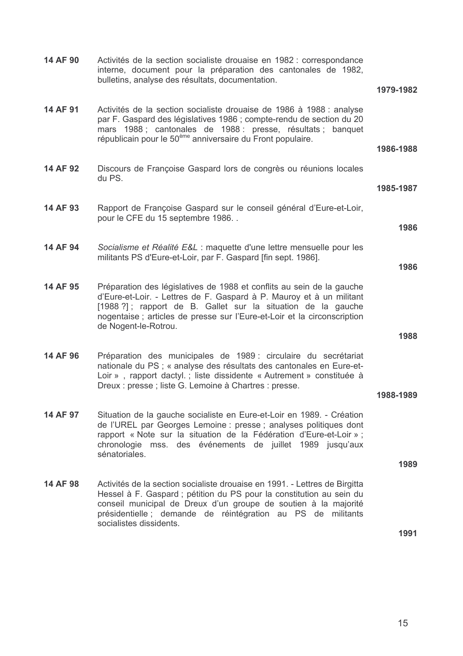| 14 AF 90 | Activités de la section socialiste drouaise en 1982 : correspondance<br>interne, document pour la préparation des cantonales de 1982,<br>bulletins, analyse des résultats, documentation.                                                                                                                        |           |
|----------|------------------------------------------------------------------------------------------------------------------------------------------------------------------------------------------------------------------------------------------------------------------------------------------------------------------|-----------|
|          |                                                                                                                                                                                                                                                                                                                  | 1979-1982 |
| 14 AF 91 | Activités de la section socialiste drouaise de 1986 à 1988 : analyse<br>par F. Gaspard des législatives 1986 ; compte-rendu de section du 20<br>mars 1988; cantonales de 1988 : presse, résultats ; banquet<br>républicain pour le 50 <sup>ème</sup> anniversaire du Front populaire.                            | 1986-1988 |
| 14 AF 92 | Discours de Françoise Gaspard lors de congrès ou réunions locales<br>du PS.                                                                                                                                                                                                                                      | 1985-1987 |
| 14 AF 93 | Rapport de Françoise Gaspard sur le conseil général d'Eure-et-Loir,<br>pour le CFE du 15 septembre 1986                                                                                                                                                                                                          | 1986      |
| 14 AF 94 | Socialisme et Réalité E&L : maquette d'une lettre mensuelle pour les<br>militants PS d'Eure-et-Loir, par F. Gaspard [fin sept. 1986].                                                                                                                                                                            |           |
|          |                                                                                                                                                                                                                                                                                                                  | 1986      |
| 14 AF 95 | Préparation des législatives de 1988 et conflits au sein de la gauche<br>d'Eure-et-Loir. - Lettres de F. Gaspard à P. Mauroy et à un militant<br>[1988?]; rapport de B. Gallet sur la situation de la gauche<br>nogentaise ; articles de presse sur l'Eure-et-Loir et la circonscription<br>de Nogent-le-Rotrou. |           |
|          |                                                                                                                                                                                                                                                                                                                  | 1988      |
| 14 AF 96 | Préparation des municipales de 1989 : circulaire du secrétariat<br>nationale du PS ; « analyse des résultats des cantonales en Eure-et-<br>Loir », rapport dactyl.; liste dissidente « Autrement » constituée à<br>Dreux : presse ; liste G. Lemoine à Chartres : presse.                                        |           |
|          |                                                                                                                                                                                                                                                                                                                  | 1988-1989 |
| 14 AF 97 | Situation de la gauche socialiste en Eure-et-Loir en 1989. - Création<br>de l'UREL par Georges Lemoine : presse ; analyses politiques dont<br>rapport « Note sur la situation de la Fédération d'Eure-et-Loir » ;<br>chronologie mss. des événements de juillet 1989 jusqu'aux<br>sénatoriales.                  |           |
|          |                                                                                                                                                                                                                                                                                                                  | 1989      |
| 14 AF 98 | Activités de la section socialiste drouaise en 1991. - Lettres de Birgitta<br>Hessel à F. Gaspard ; pétition du PS pour la constitution au sein du<br>conseil municipal de Dreux d'un groupe de soutien à la majorité<br>présidentielle ; demande de réintégration au PS de militants<br>socialistes dissidents. |           |
|          |                                                                                                                                                                                                                                                                                                                  | 1991      |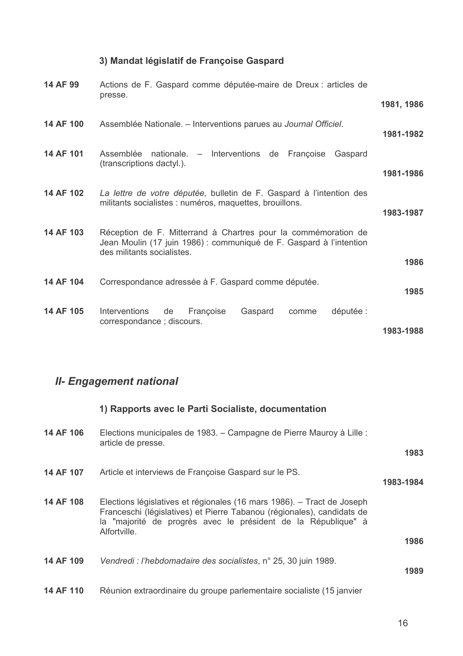## 3) Mandat législatif de Françoise Gaspard

| 14 AF 99  | Actions de F. Gaspard comme députée-maire de Dreux : articles de<br>presse.                                                                                         |            |
|-----------|---------------------------------------------------------------------------------------------------------------------------------------------------------------------|------------|
|           |                                                                                                                                                                     | 1981, 1986 |
| 14 AF 100 | Assemblée Nationale. – Interventions parues au Journal Officiel.                                                                                                    | 1981-1982  |
| 14 AF 101 | nationale. – Interventions de Françoise Gaspard<br>Assemblée<br>(transcriptions dactyl.).                                                                           | 1981-1986  |
| 14 AF 102 | La lettre de votre députée, bulletin de F. Gaspard à l'intention des<br>militants socialistes : numéros, maquettes, brouillons.                                     | 1983-1987  |
| 14 AF 103 | Réception de F. Mitterrand à Chartres pour la commémoration de<br>Jean Moulin (17 juin 1986) : communiqué de F. Gaspard à l'intention<br>des militants socialistes. |            |
|           |                                                                                                                                                                     | 1986       |
| 14 AF 104 | Correspondance adressée à F. Gaspard comme députée.                                                                                                                 | 1985       |
| 14 AF 105 | Interventions<br>Françoise<br>Gaspard<br>députée :<br>de<br>comme<br>correspondance; discours.                                                                      | 1983-1988  |

## **II- Engagement national**

|           | 1) Rapports avec le Parti Socialiste, documentation                                                                                                                                                                               |           |
|-----------|-----------------------------------------------------------------------------------------------------------------------------------------------------------------------------------------------------------------------------------|-----------|
| 14 AF 106 | Elections municipales de 1983. – Campagne de Pierre Mauroy à Lille :<br>article de presse.                                                                                                                                        | 1983      |
| 14 AF 107 | Article et interviews de Françoise Gaspard sur le PS.                                                                                                                                                                             | 1983-1984 |
| 14 AF 108 | Elections législatives et régionales (16 mars 1986). – Tract de Joseph<br>Franceschi (législatives) et Pierre Tabanou (régionales), candidats de<br>la "majorité de progrès avec le président de la République" à<br>Alfortville. |           |
|           |                                                                                                                                                                                                                                   | 1986      |
| 14 AF 109 | Vendredi : l'hebdomadaire des socialistes, n° 25, 30 juin 1989.                                                                                                                                                                   | 1989      |
| 14 AF 110 | Réunion extraordinaire du groupe parlementaire socialiste (15 janvier                                                                                                                                                             |           |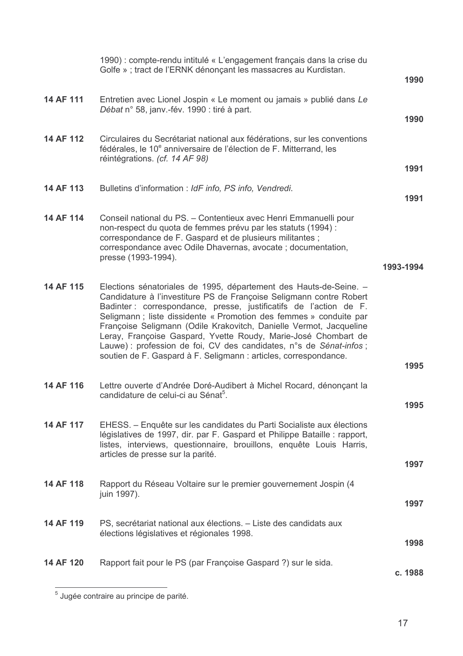|           | 1990) : compte-rendu intitulé « L'engagement français dans la crise du<br>Golfe » ; tract de l'ERNK dénonçant les massacres au Kurdistan.                                                                                                                                                                                                                                                                                                                                                                                                                              | 1990      |
|-----------|------------------------------------------------------------------------------------------------------------------------------------------------------------------------------------------------------------------------------------------------------------------------------------------------------------------------------------------------------------------------------------------------------------------------------------------------------------------------------------------------------------------------------------------------------------------------|-----------|
| 14 AF 111 | Entretien avec Lionel Jospin « Le moment ou jamais » publié dans Le<br>Débat n° 58, janv.-fév. 1990 : tiré à part.                                                                                                                                                                                                                                                                                                                                                                                                                                                     | 1990      |
| 14 AF 112 | Circulaires du Secrétariat national aux fédérations, sur les conventions<br>fédérales, le 10 <sup>e</sup> anniversaire de l'élection de F. Mitterrand, les<br>réintégrations. (cf. 14 AF 98)                                                                                                                                                                                                                                                                                                                                                                           |           |
|           |                                                                                                                                                                                                                                                                                                                                                                                                                                                                                                                                                                        | 1991      |
| 14 AF 113 | Bulletins d'information : IdF info, PS info, Vendredi.                                                                                                                                                                                                                                                                                                                                                                                                                                                                                                                 | 1991      |
| 14 AF 114 | Conseil national du PS. - Contentieux avec Henri Emmanuelli pour<br>non-respect du quota de femmes prévu par les statuts (1994) :<br>correspondance de F. Gaspard et de plusieurs militantes ;<br>correspondance avec Odile Dhavernas, avocate ; documentation,<br>presse (1993-1994).                                                                                                                                                                                                                                                                                 |           |
|           |                                                                                                                                                                                                                                                                                                                                                                                                                                                                                                                                                                        | 1993-1994 |
| 14 AF 115 | Elections sénatoriales de 1995, département des Hauts-de-Seine. -<br>Candidature à l'investiture PS de Françoise Seligmann contre Robert<br>Badinter : correspondance, presse, justificatifs de l'action de F.<br>Seligmann; liste dissidente « Promotion des femmes » conduite par<br>Françoise Seligmann (Odile Krakovitch, Danielle Vermot, Jacqueline<br>Leray, Françoise Gaspard, Yvette Roudy, Marie-José Chombart de<br>Lauwe) : profession de foi, CV des candidates, n°s de Sénat-infos ;<br>soutien de F. Gaspard à F. Seligmann : articles, correspondance. | 1995      |
| 14 AF 116 | Lettre ouverte d'Andrée Doré-Audibert à Michel Rocard, dénonçant la<br>candidature de celui-ci au Sénat <sup>5</sup> .                                                                                                                                                                                                                                                                                                                                                                                                                                                 | 1995      |
| 14 AF 117 | EHESS. - Enquête sur les candidates du Parti Socialiste aux élections<br>législatives de 1997, dir. par F. Gaspard et Philippe Bataille : rapport,<br>listes, interviews, questionnaire, brouillons, enquête Louis Harris,<br>articles de presse sur la parité.                                                                                                                                                                                                                                                                                                        |           |
|           |                                                                                                                                                                                                                                                                                                                                                                                                                                                                                                                                                                        | 1997      |
| 14 AF 118 | Rapport du Réseau Voltaire sur le premier gouvernement Jospin (4<br>juin 1997).                                                                                                                                                                                                                                                                                                                                                                                                                                                                                        |           |
|           |                                                                                                                                                                                                                                                                                                                                                                                                                                                                                                                                                                        | 1997      |
| 14 AF 119 | PS, secrétariat national aux élections. - Liste des candidats aux<br>élections législatives et régionales 1998.                                                                                                                                                                                                                                                                                                                                                                                                                                                        | 1998      |
| 14 AF 120 | Rapport fait pour le PS (par Françoise Gaspard ?) sur le sida.                                                                                                                                                                                                                                                                                                                                                                                                                                                                                                         | c. 1988   |
|           |                                                                                                                                                                                                                                                                                                                                                                                                                                                                                                                                                                        |           |

 $\overline{\phantom{a}}^5$  Jugée contraire au principe de parité.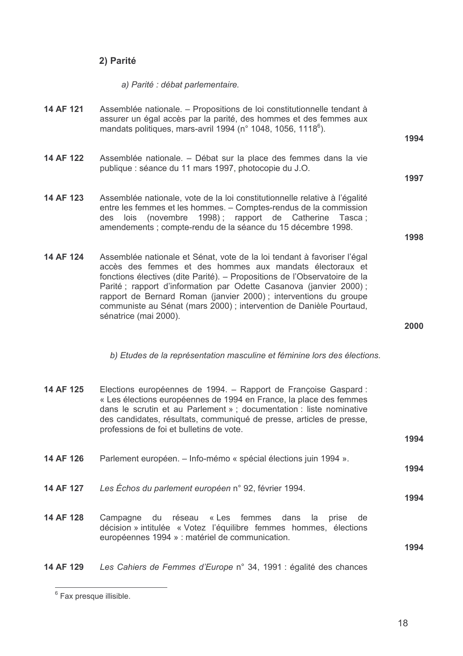## 2) Parité

a) Parité : débat parlementaire.

| 14 AF 121 | Assemblée nationale. – Propositions de loi constitutionnelle tendant à<br>assurer un égal accès par la parité, des hommes et des femmes aux<br>mandats politiques, mars-avril 1994 (n° 1048, 1056, 1118 <sup>6</sup> ).                                                                                                                                                                                                                                   | 1994 |
|-----------|-----------------------------------------------------------------------------------------------------------------------------------------------------------------------------------------------------------------------------------------------------------------------------------------------------------------------------------------------------------------------------------------------------------------------------------------------------------|------|
| 14 AF 122 | Assemblée nationale. – Débat sur la place des femmes dans la vie<br>publique : séance du 11 mars 1997, photocopie du J.O.                                                                                                                                                                                                                                                                                                                                 | 1997 |
| 14 AF 123 | Assemblée nationale, vote de la loi constitutionnelle relative à l'égalité<br>entre les femmes et les hommes. - Comptes-rendus de la commission<br>lois (novembre 1998); rapport de Catherine Tasca;<br>des<br>amendements ; compte-rendu de la séance du 15 décembre 1998.                                                                                                                                                                               | 1998 |
| 14 AF 124 | Assemblée nationale et Sénat, vote de la loi tendant à favoriser l'égal<br>accès des femmes et des hommes aux mandats électoraux et<br>fonctions électives (dite Parité). – Propositions de l'Observatoire de la<br>Parité; rapport d'information par Odette Casanova (janvier 2000);<br>rapport de Bernard Roman (janvier 2000); interventions du groupe<br>communiste au Sénat (mars 2000) ; intervention de Danièle Pourtaud,<br>sénatrice (mai 2000). | 2000 |
|           | b) Etudes de la représentation masculine et féminine lors des élections.                                                                                                                                                                                                                                                                                                                                                                                  |      |
| 14 AF 125 | Elections européennes de 1994. – Rapport de Françoise Gaspard :<br>« Les élections européennes de 1994 en France, la place des femmes<br>dans le scrutin et au Parlement » ; documentation : liste nominative<br>des candidates, résultats, communiqué de presse, articles de presse,<br>professions de foi et bulletins de vote.                                                                                                                         | 1994 |
| 14 AF 126 | Parlement européen. - Info-mémo « spécial élections juin 1994 ».                                                                                                                                                                                                                                                                                                                                                                                          | 1994 |
| 14 AF 127 | Les Échos du parlement européen n° 92, février 1994.                                                                                                                                                                                                                                                                                                                                                                                                      | 1994 |
| 14 AF 128 | du réseau « Les femmes<br>dans<br>Campagne<br>la<br>prise<br>de<br>décision » intitulée « Votez l'équilibre femmes hommes, élections<br>européennes 1994 » : matériel de communication.                                                                                                                                                                                                                                                                   | 1994 |
| 14 AF 129 | Les Cahiers de Femmes d'Europe n° 34, 1991 : égalité des chances                                                                                                                                                                                                                                                                                                                                                                                          |      |

 $6$  Fax presque illisible.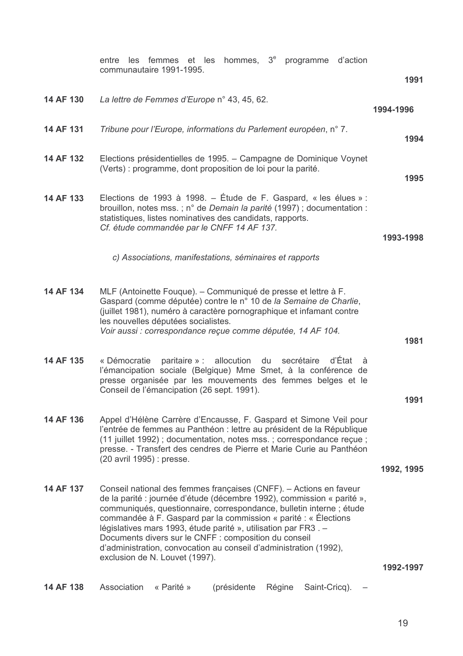|           | hommes, 3 <sup>e</sup> programme d'action<br>les femmes et les<br>entre<br>communautaire 1991-1995.                                                                                                                                                                                                                                                                                                                                                                                                                       |            |
|-----------|---------------------------------------------------------------------------------------------------------------------------------------------------------------------------------------------------------------------------------------------------------------------------------------------------------------------------------------------------------------------------------------------------------------------------------------------------------------------------------------------------------------------------|------------|
|           |                                                                                                                                                                                                                                                                                                                                                                                                                                                                                                                           | 1991       |
| 14 AF 130 | La lettre de Femmes d'Europe n° 43, 45, 62.                                                                                                                                                                                                                                                                                                                                                                                                                                                                               | 1994-1996  |
| 14 AF 131 | Tribune pour l'Europe, informations du Parlement européen, n° 7.                                                                                                                                                                                                                                                                                                                                                                                                                                                          | 1994       |
| 14 AF 132 | Elections présidentielles de 1995. – Campagne de Dominique Voynet<br>(Verts) : programme, dont proposition de loi pour la parité.                                                                                                                                                                                                                                                                                                                                                                                         | 1995       |
| 14 AF 133 | Elections de 1993 à 1998. – Étude de F. Gaspard, « les élues » :<br>brouillon, notes mss.; n° de Demain la parité (1997); documentation :<br>statistiques, listes nominatives des candidats, rapports.<br>Cf. étude commandée par le CNFF 14 AF 137.                                                                                                                                                                                                                                                                      | 1993-1998  |
|           | c) Associations, manifestations, séminaires et rapports                                                                                                                                                                                                                                                                                                                                                                                                                                                                   |            |
| 14 AF 134 | MLF (Antoinette Fouque). – Communiqué de presse et lettre à F.<br>Gaspard (comme députée) contre le n° 10 de la Semaine de Charlie,<br>(juillet 1981), numéro à caractère pornographique et infamant contre<br>les nouvelles députées socialistes.<br>Voir aussi : correspondance reçue comme députée, 14 AF 104.                                                                                                                                                                                                         |            |
|           |                                                                                                                                                                                                                                                                                                                                                                                                                                                                                                                           | 1981       |
| 14 AF 135 | d'État<br>paritaire » :<br>allocution<br>du<br>« Démocratie<br>secrétaire<br>à<br>l'émancipation sociale (Belgique) Mme Smet, à la conférence de<br>presse organisée par les mouvements des femmes belges et le<br>Conseil de l'émancipation (26 sept. 1991).                                                                                                                                                                                                                                                             | 1991       |
| 14 AF 136 | Appel d'Hélène Carrère d'Encausse, F. Gaspard et Simone Veil pour<br>l'entrée de femmes au Panthéon : lettre au président de la République<br>(11 juillet 1992); documentation, notes mss.; correspondance reçue;<br>presse. - Transfert des cendres de Pierre et Marie Curie au Panthéon<br>(20 avril 1995) : presse.                                                                                                                                                                                                    |            |
|           |                                                                                                                                                                                                                                                                                                                                                                                                                                                                                                                           | 1992, 1995 |
| 14 AF 137 | Conseil national des femmes françaises (CNFF). - Actions en faveur<br>de la parité : journée d'étude (décembre 1992), commission « parité »,<br>communiqués, questionnaire, correspondance, bulletin interne ; étude<br>commandée à F. Gaspard par la commission « parité : « Élections<br>législatives mars 1993, étude parité », utilisation par FR3. -<br>Documents divers sur le CNFF : composition du conseil<br>d'administration, convocation au conseil d'administration (1992),<br>exclusion de N. Louvet (1997). |            |
|           |                                                                                                                                                                                                                                                                                                                                                                                                                                                                                                                           | 1992-1997  |
| 14 AF 138 | Association<br>« Parité »<br>(présidente<br>Régine<br>Saint-Cricq).                                                                                                                                                                                                                                                                                                                                                                                                                                                       |            |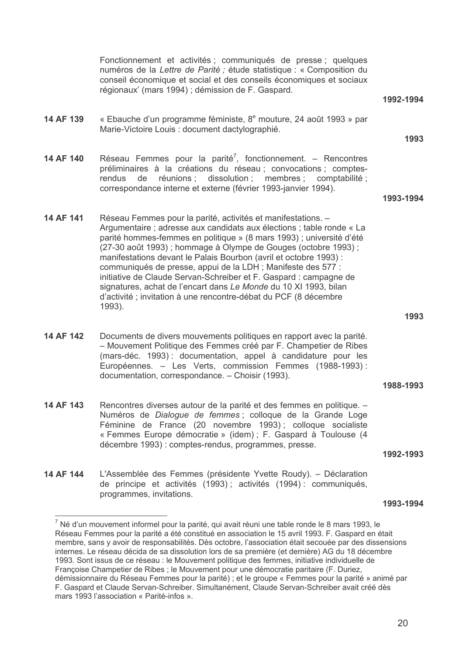Fonctionnement et activités ; communiqués de presse ; quelques numéros de la Lettre de Parité : étude statistique : « Composition du conseil économique et social et des conseils économiques et sociaux régionaux' (mars 1994) ; démission de F. Gaspard. 1992-1994 14 AF 139 « Ebauche d'un programme féministe, 8<sup>e</sup> mouture, 24 août 1993 » par Marie-Victoire Louis : document dactylographié. 1993 14 AF 140 Réseau Femmes pour la parité<sup>7</sup>, fonctionnement. – Rencontres préliminaires à la créations du réseau : convocations : comptesrendus de réunions ; dissolution ; membres ; comptabilité ; correspondance interne et externe (février 1993-janvier 1994). 1993-1994 14 AF 141 Réseau Femmes pour la parité, activités et manifestations. -Argumentaire ; adresse aux candidats aux élections ; table ronde « La parité hommes-femmes en politique » (8 mars 1993) ; université d'été (27-30 août 1993); hommage à Olympe de Gouges (octobre 1993); manifestations devant le Palais Bourbon (avril et octobre 1993) : communiqués de presse, appui de la LDH ; Manifeste des 577 : initiative de Claude Servan-Schreiber et F. Gaspard : campagne de signatures, achat de l'encart dans Le Monde du 10 XI 1993, bilan d'activité ; invitation à une rencontre-débat du PCF (8 décembre  $1993$ 1993 14 AF 142 Documents de divers mouvements politiques en rapport avec la parité. - Mouvement Politique des Femmes créé par F. Champetier de Ribes (mars-déc. 1993): documentation, appel à candidature pour les Européennes. - Les Verts, commission Femmes (1988-1993): documentation, correspondance. - Choisir (1993). 1988-1993 14 AF 143 Rencontres diverses autour de la parité et des femmes en politique. -Numéros de *Dialoque de femmes* : colloque de la Grande Loge Féminine de France (20 novembre 1993); colloque socialiste « Femmes Europe démocratie » (idem) : F. Gaspard à Toulouse (4 décembre 1993) : comptes-rendus, programmes, presse. 1992-1993 14 AF 144 L'Assemblée des Femmes (présidente Yvette Roudy). – Déclaration de principe et activités (1993); activités (1994): communiqués, programmes, invitations. 1993-1994  $^7$  Né d'un mouvement informel pour la parité, qui avait réuni une table ronde le 8 mars 1993, le Réseau Femmes pour la parité a été constitué en association le 15 avril 1993. F. Gaspard en était membre, sans y avoir de responsabilités. Dès octobre, l'association était secouée par des dissensions internes. Le réseau décida de sa dissolution lors de sa première (et dernière) AG du 18 décembre

<sup>1993.</sup> Sont issus de ce réseau : le Mouvement politique des femmes, initiative individuelle de Françoise Champetier de Ribes ; le Mouvement pour une démocratie paritaire (F. Duriez, démissionnaire du Réseau Femmes pour la parité) ; et le groupe « Femmes pour la parité » animé par F. Gaspard et Claude Servan-Schreiber. Simultanément, Claude Servan-Schreiber avait créé dès mars 1993 l'association « Parité-infos ».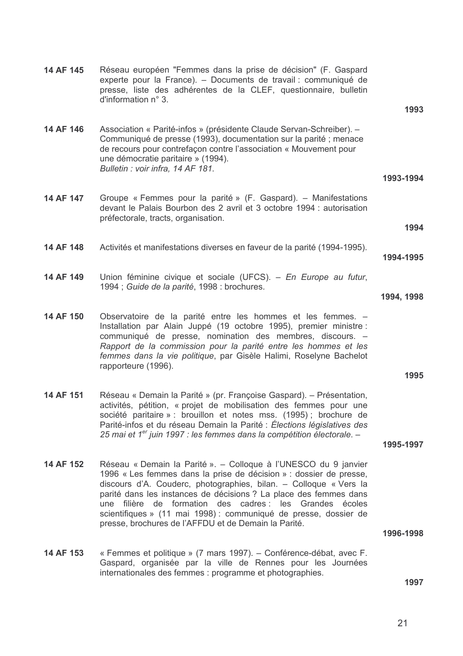|            | Réseau européen "Femmes dans la prise de décision" (F. Gaspard<br>experte pour la France). – Documents de travail : communiqué de<br>presse, liste des adhérentes de la CLEF, questionnaire, bulletin<br>d'information n° 3.                                                                                                                                                                         | 14 AF 145 |
|------------|------------------------------------------------------------------------------------------------------------------------------------------------------------------------------------------------------------------------------------------------------------------------------------------------------------------------------------------------------------------------------------------------------|-----------|
| 1993       |                                                                                                                                                                                                                                                                                                                                                                                                      |           |
| 1993-1994  | Association « Parité-infos » (présidente Claude Servan-Schreiber). -<br>Communiqué de presse (1993), documentation sur la parité ; menace<br>de recours pour contrefaçon contre l'association « Mouvement pour<br>une démocratie paritaire » (1994).<br>Bulletin : voir infra, 14 AF 181.                                                                                                            | 14 AF 146 |
|            |                                                                                                                                                                                                                                                                                                                                                                                                      |           |
| 1994       | Groupe « Femmes pour la parité » (F. Gaspard). – Manifestations<br>devant le Palais Bourbon des 2 avril et 3 octobre 1994 : autorisation<br>préfectorale, tracts, organisation.                                                                                                                                                                                                                      | 14 AF 147 |
|            |                                                                                                                                                                                                                                                                                                                                                                                                      |           |
| 1994-1995  | Activités et manifestations diverses en faveur de la parité (1994-1995).                                                                                                                                                                                                                                                                                                                             | 14 AF 148 |
|            | Union féminine civique et sociale (UFCS). - En Europe au futur,                                                                                                                                                                                                                                                                                                                                      | 14 AF 149 |
|            | 1994 ; Guide de la parité, 1998 : brochures.                                                                                                                                                                                                                                                                                                                                                         |           |
| 1994, 1998 |                                                                                                                                                                                                                                                                                                                                                                                                      |           |
|            | Observatoire de la parité entre les hommes et les femmes. -<br>Installation par Alain Juppé (19 octobre 1995), premier ministre :<br>communiqué de presse, nomination des membres, discours. -<br>Rapport de la commission pour la parité entre les hommes et les<br>femmes dans la vie politique, par Gisèle Halimi, Roselyne Bachelot<br>rapporteure (1996).                                       | 14 AF 150 |
| 1995       |                                                                                                                                                                                                                                                                                                                                                                                                      |           |
| 1995-1997  | Réseau « Demain la Parité » (pr. Françoise Gaspard). – Présentation,<br>activités, pétition, « projet de mobilisation des femmes pour une<br>société paritaire » : brouillon et notes mss. (1995) ; brochure de<br>Parité-infos et du réseau Demain la Parité : Élections législatives des<br>25 mai et 1 <sup>er</sup> juin 1997 : les femmes dans la compétition électorale. –                     | 14 AF 151 |
|            | Réseau « Demain la Parité ». – Colloque à l'UNESCO du 9 janvier                                                                                                                                                                                                                                                                                                                                      | 14 AF 152 |
| 1996-1998  | 1996 « Les femmes dans la prise de décision » : dossier de presse,<br>discours d'A. Couderc, photographies, bilan. - Colloque « Vers la<br>parité dans les instances de décisions ? La place des femmes dans<br>une filière de formation des cadres : les Grandes écoles<br>scientifiques » (11 mai 1998) : communiqué de presse, dossier de<br>presse, brochures de l'AFFDU et de Demain la Parité. |           |
|            |                                                                                                                                                                                                                                                                                                                                                                                                      | 14 AF 153 |
|            | « Femmes et politique » (7 mars 1997). – Conférence-débat, avec F.<br>Gaspard, organisée par la ville de Rennes pour les Journées<br>internationales des femmes : programme et photographies.                                                                                                                                                                                                        |           |
| 1997       |                                                                                                                                                                                                                                                                                                                                                                                                      |           |
|            |                                                                                                                                                                                                                                                                                                                                                                                                      |           |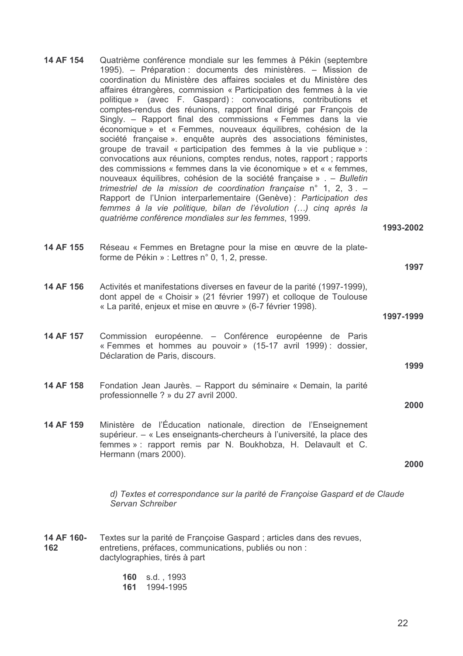- 14 AF 154 Quatrième conférence mondiale sur les femmes à Pékin (septembre 1995). – Préparation : documents des ministères. – Mission de coordination du Ministère des affaires sociales et du Ministère des affaires étrangères, commission « Participation des femmes à la vie politique » (avec F. Gaspard): convocations, contributions et comptes-rendus des réunions, rapport final dirigé par François de Singly. - Rapport final des commissions « Femmes dans la vie économique » et « Femmes, nouveaux équilibres, cohésion de la société française ». enquête auprès des associations féministes, groupe de travail « participation des femmes à la vie publique » : convocations aux réunions, comptes rendus, notes, rapport ; rapports des commissions « femmes dans la vie économique » et « « femmes, nouveaux équilibres, cohésion de la société française » . - Bulletin trimestriel de la mission de coordination française n° 1, 2, 3. -Rapport de l'Union interparlementaire (Genève) : Participation des femmes à la vie politique, bilan de l'évolution (...) cinq après la quatrième conférence mondiales sur les femmes, 1999.
- 1993-2002

1997-1999

1997

1999

2000

- 14 AF 155 Réseau « Femmes en Bretagne pour la mise en œuvre de la plateforme de Pékin » : Lettres n° 0, 1, 2, presse.
- 14 AF 156 Activités et manifestations diverses en faveur de la parité (1997-1999). dont appel de « Choisir » (21 février 1997) et colloque de Toulouse « La parité, enjeux et mise en œuvre » (6-7 février 1998).
- 14 AF 157 Commission européenne. - Conférence européenne de Paris « Femmes et hommes au pouvoir » (15-17 avril 1999) : dossier. Déclaration de Paris, discours.
- Fondation Jean Jaurès. Rapport du séminaire « Demain, la parité 14 AF 158 professionnelle ? » du 27 avril 2000.
- 14 AF 159 Ministère de l'Éducation nationale, direction de l'Enseignement supérieur. – « Les enseignants-chercheurs à l'université, la place des femmes » : rapport remis par N. Boukhobza, H. Delavault et C. Hermann (mars 2000).

2000

d) Textes et correspondance sur la parité de Françoise Gaspard et de Claude Servan Schreiber

- 14 AF 160-Textes sur la parité de Françoise Gaspard ; articles dans des revues. entretiens, préfaces, communications, publiés ou non : 162 dactylographies, tirés à part
	- 160 s.d. 1993
	- 161 1994-1995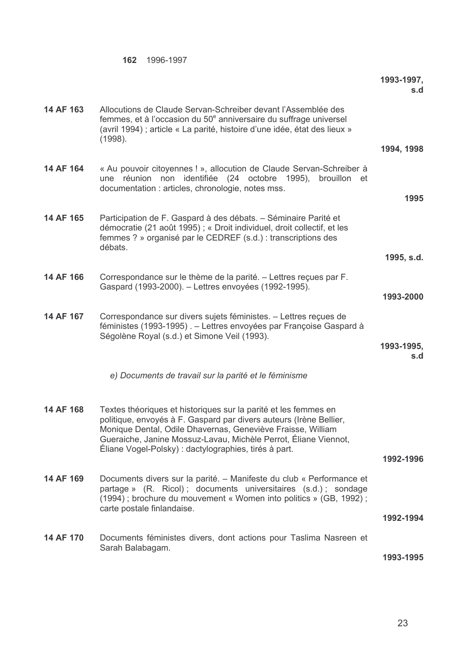|           |                                                                                                                                                                                                                                                                                                                                  | 1993-1997,<br>s.d |
|-----------|----------------------------------------------------------------------------------------------------------------------------------------------------------------------------------------------------------------------------------------------------------------------------------------------------------------------------------|-------------------|
| 14 AF 163 | Allocutions de Claude Servan-Schreiber devant l'Assemblée des<br>femmes, et à l'occasion du 50 <sup>e</sup> anniversaire du suffrage universel<br>(avril 1994); article « La parité, histoire d'une idée, état des lieux »<br>(1998).                                                                                            |                   |
|           |                                                                                                                                                                                                                                                                                                                                  | 1994, 1998        |
| 14 AF 164 | « Au pouvoir citoyennes ! », allocution de Claude Servan-Schreiber à<br>réunion non identifiée (24 octobre 1995), brouillon et<br>une<br>documentation : articles, chronologie, notes mss.                                                                                                                                       | 1995              |
| 14 AF 165 | Participation de F. Gaspard à des débats. – Séminaire Parité et<br>démocratie (21 août 1995) ; « Droit individuel, droit collectif, et les<br>femmes ? » organisé par le CEDREF (s.d.) : transcriptions des<br>débats.                                                                                                           | 1995, s.d.        |
|           |                                                                                                                                                                                                                                                                                                                                  |                   |
| 14 AF 166 | Correspondance sur le thème de la parité. - Lettres reçues par F.<br>Gaspard (1993-2000). - Lettres envoyées (1992-1995).                                                                                                                                                                                                        | 1993-2000         |
| 14 AF 167 | Correspondance sur divers sujets féministes. - Lettres reçues de<br>féministes (1993-1995). - Lettres envoyées par Françoise Gaspard à<br>Ségolène Royal (s.d.) et Simone Veil (1993).                                                                                                                                           | 1993-1995,<br>s.d |
|           | e) Documents de travail sur la parité et le féminisme                                                                                                                                                                                                                                                                            |                   |
| 14 AF 168 | Textes théoriques et historiques sur la parité et les femmes en<br>politique, envoyés à F. Gaspard par divers auteurs (Irène Bellier,<br>Monique Dental, Odile Dhavernas, Geneviève Fraisse, William<br>Gueraiche, Janine Mossuz-Lavau, Michèle Perrot, Éliane Viennot,<br>Éliane Vogel-Polsky) : dactylographies, tirés à part. | 1992-1996         |
| 14 AF 169 | Documents divers sur la parité. - Manifeste du club « Performance et<br>partage » (R. Ricol); documents universitaires (s.d.); sondage<br>(1994); brochure du mouvement « Women into politics » (GB, 1992);<br>carte postale finlandaise.                                                                                        | 1992-1994         |
| 14 AF 170 | Documents féministes divers, dont actions pour Taslima Nasreen et<br>Sarah Balabagam.                                                                                                                                                                                                                                            | 1993-1995         |

162 1996-1997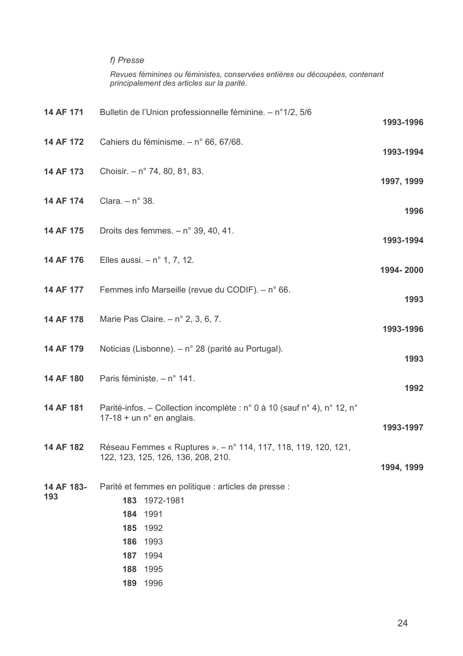### f) Presse

Revues féminines ou féministes, conservées entières ou découpées, contenant<br>principalement des articles sur la parité.

|                                                                                                                                                     | 1993-1996  |
|-----------------------------------------------------------------------------------------------------------------------------------------------------|------------|
| Cahiers du féminisme. - n° 66, 67/68.                                                                                                               | 1993-1994  |
| Choisir. $- n^{\circ}$ 74, 80, 81, 83.                                                                                                              | 1997, 1999 |
| Clara. $- n° 38.$                                                                                                                                   | 1996       |
| Droits des femmes. $- n^{\circ}$ 39, 40, 41.                                                                                                        | 1993-1994  |
| Elles aussi. $- n^{\circ}$ 1, 7, 12.                                                                                                                | 1994-2000  |
| Femmes info Marseille (revue du CODIF). $- n^{\circ}$ 66.                                                                                           | 1993       |
| Marie Pas Claire. $- n^{\circ} 2$ , 3, 6, 7.                                                                                                        | 1993-1996  |
| Noticias (Lisbonne). – n° 28 (parité au Portugal).                                                                                                  | 1993       |
| Paris féministe. - n° 141.                                                                                                                          | 1992       |
| Parité-infos. – Collection incomplète : n° 0 à 10 (sauf n° 4), n° 12, n°<br>$17-18 +$ un n° en anglais.                                             | 1993-1997  |
| Réseau Femmes « Ruptures ». - n° 114, 117, 118, 119, 120, 121,<br>122, 123, 125, 126, 136, 208, 210.                                                | 1994, 1999 |
| Parité et femmes en politique : articles de presse :<br>1972-1981<br>183<br>1991<br>184<br>185<br>1992<br>1993<br>186<br>187<br>1994<br>1995<br>188 |            |
|                                                                                                                                                     | 189 1996   |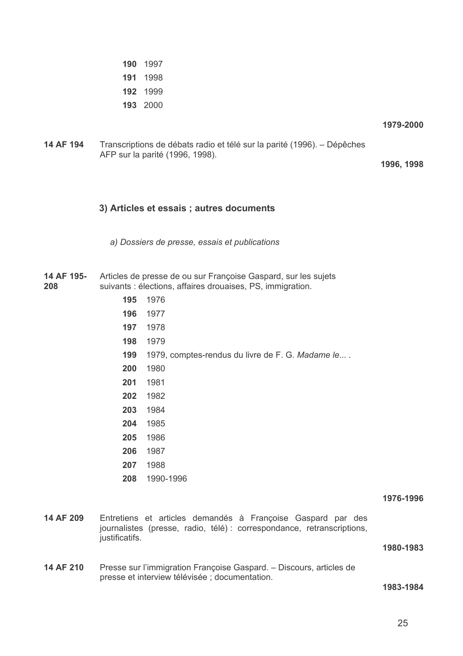- 190 1997 191 1998 192 1999
- 193 2000

1979-2000

14 AF 194 Transcriptions de débats radio et télé sur la parité (1996). – Dépêches AFP sur la parité (1996, 1998).

1996, 1998

### 3) Articles et essais ; autres documents

a) Dossiers de presse, essais et publications

14 AF 195-Articles de presse de ou sur Françoise Gaspard, sur les sujets 208 suivants : élections, affaires drouaises, PS, immigration.

- 195 1976
- 196 1977
- 197 1978
- 198 1979
- 199 1979, comptes-rendus du livre de F. G. Madame le....
- 200 1980
- 201 1981
- 202 1982
- 203 1984
- 204 1985
- 205 1986
- 206 1987
- 207 1988
- 208 1990-1996

1976-1996

14 AF 209 Entretiens et articles demandés à Françoise Gaspard par des journalistes (presse, radio, télé) : correspondance, retranscriptions, justificatifs.

1980-1983

14 AF 210 Presse sur l'immigration Françoise Gaspard. - Discours, articles de presse et interview télévisée : documentation.

1983-1984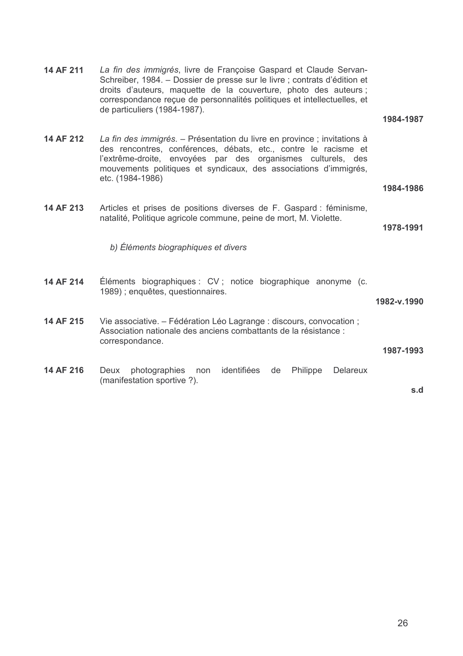14 AF 211 La fin des immigrés, livre de Françoise Gaspard et Claude Servan-Schreiber, 1984. - Dossier de presse sur le livre ; contrats d'édition et droits d'auteurs, maquette de la couverture, photo des auteurs ; correspondance reçue de personnalités politiques et intellectuelles, et de particuliers (1984-1987). 1984-1987 14 AF 212 La fin des immigrés. - Présentation du livre en province ; invitations à des rencontres, conférences, débats, etc., contre le racisme et l'extrême-droite, envoyées par des organismes culturels, des mouvements politiques et syndicaux, des associations d'immigrés, etc. (1984-1986) 1984-1986 14 AF 213 Articles et prises de positions diverses de F. Gaspard : féminisme, natalité, Politique agricole commune, peine de mort, M. Violette. 1978-1991 b) Éléments biographiques et divers 14 AF 214 Éléments biographiques : CV ; notice biographique anonyme (c. 1989); enquêtes, questionnaires. 1982-v.1990 14 AF 215 Vie associative. – Fédération Léo Lagrange : discours, convocation ; Association nationale des anciens combattants de la résistance : correspondance. 1987-1993 Deux photographies non identifiées de Philippe Delareux 14 AF 216 (manifestation sportive ?). s.d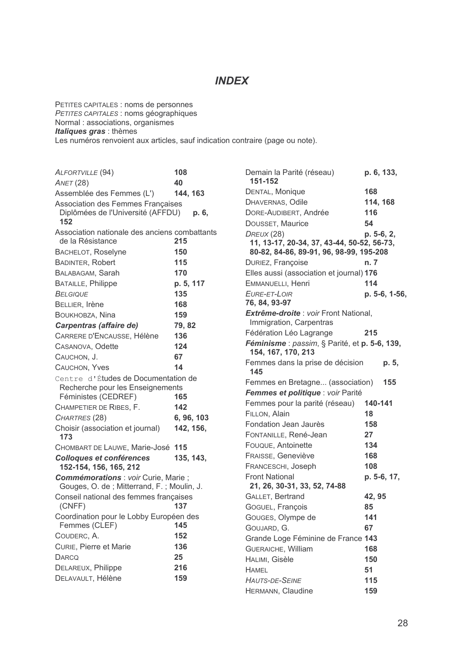### **INDEX**

PETITES CAPITALES : noms de personnes<br>PETITES CAPITALES : noms géographiques<br>Normal : associations, organismes Italiques gras : thèmes Les numéros renvoient aux articles, sauf indication contraire (page ou note).

| ALFORTVILLE (94)                                                                                                                                                                      | 108                     |            |
|---------------------------------------------------------------------------------------------------------------------------------------------------------------------------------------|-------------------------|------------|
| <b>ANET (28)</b>                                                                                                                                                                      | 40                      |            |
| Assemblée des Femmes (L')                                                                                                                                                             | 144, 163                |            |
| Association des Femmes Françaises<br>Diplômées de l'Université (AFFDU)<br>152                                                                                                         |                         | р. 6,      |
| Association nationale des anciens combattants<br>de la Résistance                                                                                                                     | 215                     |            |
| <b>BACHELOT, Roselyne</b>                                                                                                                                                             | 150                     |            |
| <b>BADINTER, Robert</b>                                                                                                                                                               | 115                     |            |
| BALABAGAM, Sarah                                                                                                                                                                      | 170                     |            |
| <b>BATAILLE, Philippe</b>                                                                                                                                                             | p. 5, 117               |            |
| <b>BELGIQUE</b>                                                                                                                                                                       | 135                     |            |
| BELLIER, Irène                                                                                                                                                                        | 168                     |            |
| BOUKHOBZA, Nina                                                                                                                                                                       | 159                     |            |
| Carpentras (affaire de)                                                                                                                                                               | 79, 82                  |            |
| CARRERE D'ENCAUSSE, Hélène                                                                                                                                                            | 136                     |            |
| CASANOVA, Odette                                                                                                                                                                      | 124                     |            |
| CAUCHON, J.                                                                                                                                                                           | 67                      |            |
| CAUCHON, Yves                                                                                                                                                                         | 14                      |            |
| Centre d'Études de Documentation de<br>Recherche pour les Enseignements<br>Féministes (CEDREF)<br>CHAMPETIER DE RIBES, F.<br>CHARTRES (28)<br>Choisir (association et journal)<br>173 | 165<br>142<br>142, 156, | 6, 96, 103 |
| CHOMBART DE LAUWE, Marie-José                                                                                                                                                         | 115                     |            |
| <b>Colloques et conférences</b><br>152-154, 156, 165, 212                                                                                                                             | 135, 143,               |            |
| Commémorations : voir Curie, Marie ;<br>Gouges, O. de; Mitterrand, F.; Moulin, J.<br>Conseil national des femmes françaises<br>(CNFF)                                                 | 137                     |            |
| Coordination pour le Lobby Européen des                                                                                                                                               |                         |            |
| Femmes (CLEF)                                                                                                                                                                         | 145                     |            |
| COUDERC, A.                                                                                                                                                                           | 152                     |            |
| CURIE, Pierre et Marie                                                                                                                                                                | 136                     |            |
| <b>DARCQ</b>                                                                                                                                                                          | 25                      |            |
| DELAREUX, Philippe                                                                                                                                                                    | 216                     |            |
| DELAVAULT, Hélène                                                                                                                                                                     | 159                     |            |
|                                                                                                                                                                                       |                         |            |

| Demain la Parité (réseau)<br>151-152                                | p. 6, 133,    |
|---------------------------------------------------------------------|---------------|
| DENTAL, Monique                                                     | 168           |
| DHAVERNAS, Odile                                                    | 114, 168      |
| DORE-AUDIBERT, Andrée                                               | 116           |
| DOUSSET, Maurice                                                    | 54            |
| DREUX (28)<br>11, 13-17, 20-34, 37, 43-44, 50-52, 56-73,            | p. 5-6, 2,    |
| 80-82, 84-86, 89-91, 96, 98-99, 195-208                             |               |
| DURIEZ, Françoise                                                   | n. 7          |
| Elles aussi (association et journal) 176                            |               |
| EMMANUELLI, Henri                                                   | 114           |
| EURE-ET-LOIR                                                        | p. 5-6, 1-56, |
| 76, 84, 93-97                                                       |               |
| Extrême-droite : voir Front National,                               |               |
| Immigration, Carpentras                                             |               |
| Fédération Léo Lagrange                                             | 215           |
| Féminisme : passim, § Parité, et p. 5-6, 139,<br>154, 167, 170, 213 |               |
| Femmes dans la prise de décision<br>145                             | p. 5,         |
| Femmes en Bretagne (association)                                    | 155           |
| Femmes et politique : voir Parité                                   |               |
| Femmes pour la parité (réseau)                                      | 140-141       |
| FILLON, Alain                                                       | 18            |
| Fondation Jean Jaurès                                               | 158           |
| FONTANILLE, René-Jean                                               | 27            |
| FOUQUE, Antoinette                                                  | 134           |
| FRAISSE, Geneviève                                                  | 168           |
| FRANCESCHI, Joseph                                                  | 108           |
| <b>Front National</b>                                               | p. 5-6, 17,   |
| 21, 26, 30-31, 33, 52, 74-88                                        |               |
| GALLET, Bertrand                                                    | 42, 95        |
| GOGUEL, François                                                    | 85            |
| GOUGES, Olympe de                                                   | 141           |
| GOUJARD, G.                                                         | 67            |
| Grande Loge Féminine de France 143                                  |               |
| GUERAICHE, William                                                  | 168           |
| HALIMI, Gisèle                                                      | 150           |
| <b>HAMEL</b>                                                        | 51            |
| <b>HAUTS-DE-SEINE</b><br>HERMANN, Claudine                          | 115           |
|                                                                     | 159           |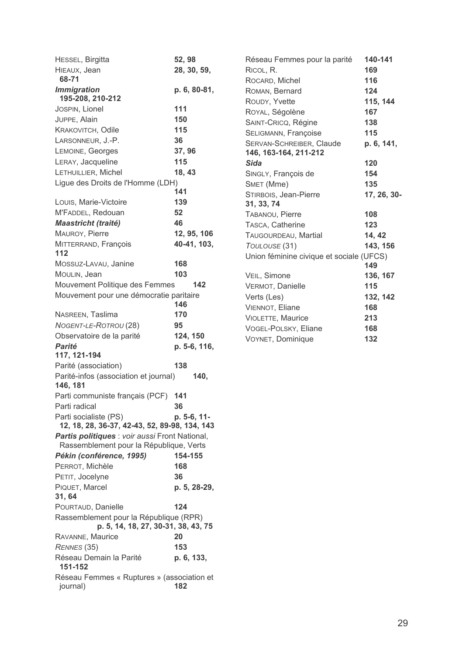| HESSEL, Birgitta                                                              | 52, 98       |
|-------------------------------------------------------------------------------|--------------|
| HIEAUX, Jean<br>68-71                                                         | 28, 30, 59,  |
| <b>Immigration</b><br>195-208, 210-212                                        | p. 6, 80-81, |
| JOSPIN, Lionel                                                                | 111          |
| JUPPE, Alain                                                                  | 150          |
| KRAKOVITCH, Odile                                                             | 115          |
| LARSONNEUR, J.-P.                                                             | 36           |
| LEMOINE, Georges                                                              | 37, 96       |
| LERAY, Jacqueline                                                             | 115          |
| LETHUILLIER, Michel                                                           | 18, 43       |
| Ligue des Droits de l'Homme (LDH)                                             | 141          |
| Louis, Marie-Victoire                                                         | 139          |
| M'FADDEL, Redouan                                                             | 52           |
| Maastricht (traité)                                                           | 46           |
| MAUROY, Pierre                                                                | 12, 95, 106  |
| MITTERRAND, François<br>112                                                   | 40-41, 103,  |
| Mossuz-Lavau, Janine                                                          | 168          |
| MOULIN, Jean                                                                  | 103          |
| Mouvement Politique des Femmes                                                | 142          |
| Mouvement pour une démocratie paritaire                                       | 146          |
| NASREEN, Taslima                                                              | 170          |
| NOGENT-LE-ROTROU (28)                                                         | 95           |
| Observatoire de la parité                                                     | 124, 150     |
| <b>Parité</b>                                                                 | p. 5-6, 116, |
| 117, 121-194                                                                  |              |
| Parité (association)                                                          | 138          |
| Parité-infos (association et journal)<br>146, 181                             | 140,         |
| Parti communiste français (PCF)                                               | 141          |
| Parti radical                                                                 | 36           |
| Parti socialiste (PS)<br>12, 18, 28, 36-37, 42-43, 52, 89-98, 134, 143        | p. 5-6, 11-  |
| Partis politiques : voir aussi Front National,                                |              |
| Rassemblement pour la République, Verts                                       |              |
| Pékin (conférence, 1995)                                                      | 154-155      |
| PERROT, Michèle                                                               | 168          |
| PETIT, Jocelyne                                                               | 36           |
| PIQUET, Marcel<br>31, 64                                                      | p. 5, 28-29, |
| POURTAUD, Danielle                                                            | 124          |
| Rassemblement pour la République (RPR)<br>p. 5, 14, 18, 27, 30-31, 38, 43, 75 |              |
| RAVANNE, Maurice                                                              | 20           |
| RENNES (35)                                                                   | 153          |
| Réseau Demain la Parité<br>151-152                                            | p. 6, 133,   |
| Réseau Femmes « Ruptures » (association et<br>journal)                        | 182          |

| Réseau Femmes pour la parité                      | 140-141     |
|---------------------------------------------------|-------------|
| RICOL, R.                                         | 169         |
| ROCARD, Michel                                    | 116         |
| ROMAN, Bernard                                    | 124         |
| ROUDY, Yvette                                     | 115, 144    |
| ROYAL, Ségolène                                   | 167         |
| SAINT-CRICQ, Régine                               | 138         |
| SELIGMANN, Françoise                              | 115         |
| SERVAN-SCHREIBER, Claude<br>146, 163-164, 211-212 | p. 6, 141,  |
| Sida                                              | 120         |
| SINGLY, François de                               | 154         |
| SMET (Mme)                                        | 135         |
| STIRBOIS, Jean-Pierre                             | 17, 26, 30- |
| 31, 33, 74                                        |             |
| TABANOU, Pierre                                   | 108         |
| TASCA, Catherine                                  | 123         |
| TAUGOURDEAU, Martial                              | 14, 42      |
| TOULOUSE (31)                                     | 143, 156    |
| Union féminine civique et sociale (UFCS)          |             |
|                                                   | 149         |
| VEIL, Simone                                      | 136, 167    |
| VERMOT, Danielle                                  | 115         |
| Verts (Les)                                       | 132, 142    |
| <b>VIENNOT, Eliane</b>                            | 168         |
| VIOLETTE, Maurice                                 | 213         |
| VOGEL-POLSKY, Eliane                              | 168         |
| VOYNET, Dominique                                 | 132         |